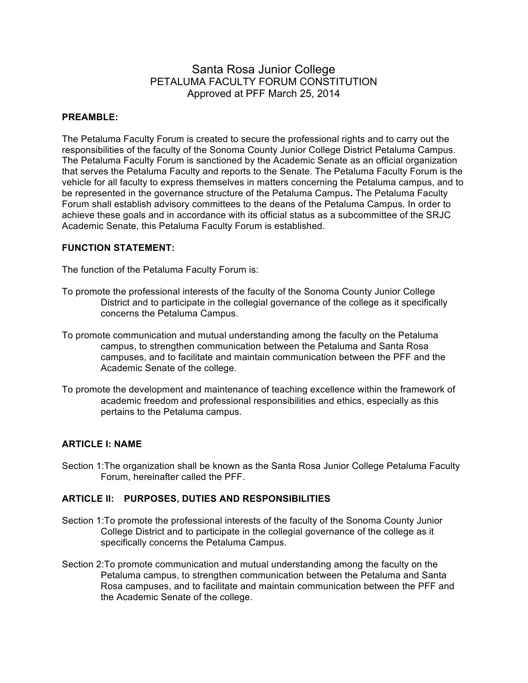# Santa Rosa Junior College PETALUMA FACULTY FORUM CONSTITUTION Approved at PFF March 25, 2014

#### **PREAMBLE:**

The Petaluma Faculty Forum is created to secure the professional rights and to carry out the responsibilities of the faculty of the Sonoma County Junior College District Petaluma Campus. The Petaluma Faculty Forum is sanctioned by the Academic Senate as an official organization that serves the Petaluma Faculty and reports to the Senate. The Petaluma Faculty Forum is the vehicle for all faculty to express themselves in matters concerning the Petaluma campus, and to be represented in the governance structure of the Petaluma Campus**.** The Petaluma Faculty Forum shall establish advisory committees to the deans of the Petaluma Campus. In order to achieve these goals and in accordance with its official status as a subcommittee of the SRJC Academic Senate, this Petaluma Faculty Forum is established.

#### **FUNCTION STATEMENT:**

The function of the Petaluma Faculty Forum is:

- To promote the professional interests of the faculty of the Sonoma County Junior College District and to participate in the collegial governance of the college as it specifically concerns the Petaluma Campus.
- To promote communication and mutual understanding among the faculty on the Petaluma campus, to strengthen communication between the Petaluma and Santa Rosa campuses, and to facilitate and maintain communication between the PFF and the Academic Senate of the college.
- To promote the development and maintenance of teaching excellence within the framework of academic freedom and professional responsibilities and ethics, especially as this pertains to the Petaluma campus.

#### **ARTICLE I: NAME**

Section 1:The organization shall be known as the Santa Rosa Junior College Petaluma Faculty Forum, hereinafter called the PFF.

#### **ARTICLE II: PURPOSES, DUTIES AND RESPONSIBILITIES**

- Section 1:To promote the professional interests of the faculty of the Sonoma County Junior College District and to participate in the collegial governance of the college as it specifically concerns the Petaluma Campus.
- Section 2:To promote communication and mutual understanding among the faculty on the Petaluma campus, to strengthen communication between the Petaluma and Santa Rosa campuses, and to facilitate and maintain communication between the PFF and the Academic Senate of the college.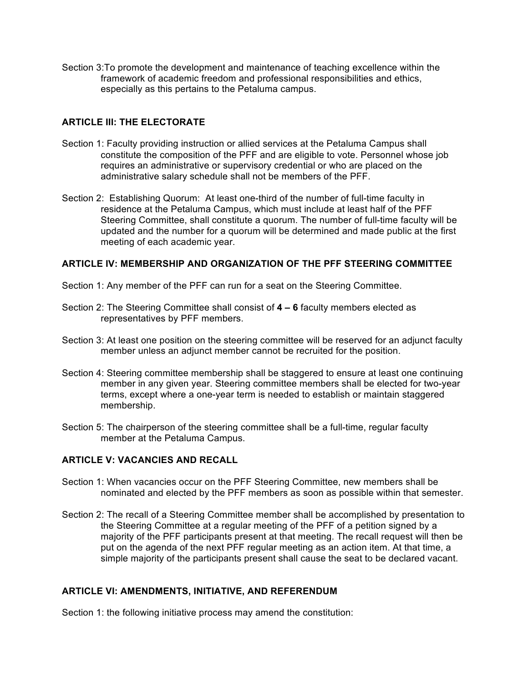Section 3:To promote the development and maintenance of teaching excellence within the framework of academic freedom and professional responsibilities and ethics, especially as this pertains to the Petaluma campus.

# **ARTICLE III: THE ELECTORATE**

- Section 1: Faculty providing instruction or allied services at the Petaluma Campus shall constitute the composition of the PFF and are eligible to vote. Personnel whose job requires an administrative or supervisory credential or who are placed on the administrative salary schedule shall not be members of the PFF.
- Section 2: Establishing Quorum: At least one-third of the number of full-time faculty in residence at the Petaluma Campus, which must include at least half of the PFF Steering Committee, shall constitute a quorum. The number of full-time faculty will be updated and the number for a quorum will be determined and made public at the first meeting of each academic year.

# **ARTICLE IV: MEMBERSHIP AND ORGANIZATION OF THE PFF STEERING COMMITTEE**

- Section 1: Any member of the PFF can run for a seat on the Steering Committee.
- Section 2: The Steering Committee shall consist of **4 – 6** faculty members elected as representatives by PFF members.
- Section 3: At least one position on the steering committee will be reserved for an adjunct faculty member unless an adjunct member cannot be recruited for the position.
- Section 4: Steering committee membership shall be staggered to ensure at least one continuing member in any given year. Steering committee members shall be elected for two-year terms, except where a one-year term is needed to establish or maintain staggered membership.
- Section 5: The chairperson of the steering committee shall be a full-time, regular faculty member at the Petaluma Campus.

# **ARTICLE V: VACANCIES AND RECALL**

- Section 1: When vacancies occur on the PFF Steering Committee, new members shall be nominated and elected by the PFF members as soon as possible within that semester.
- Section 2: The recall of a Steering Committee member shall be accomplished by presentation to the Steering Committee at a regular meeting of the PFF of a petition signed by a majority of the PFF participants present at that meeting. The recall request will then be put on the agenda of the next PFF regular meeting as an action item. At that time, a simple majority of the participants present shall cause the seat to be declared vacant.

# **ARTICLE VI: AMENDMENTS, INITIATIVE, AND REFERENDUM**

Section 1: the following initiative process may amend the constitution: